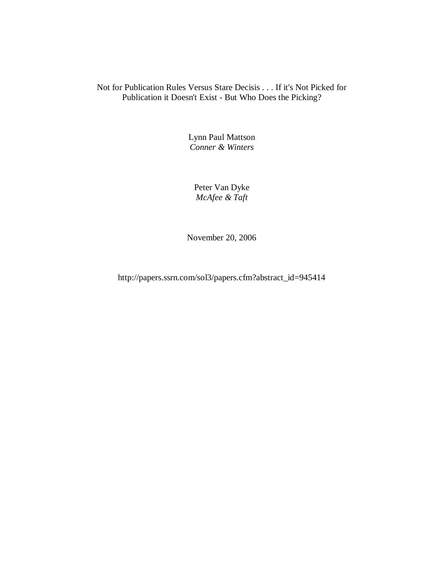# Not for Publication Rules Versus Stare Decisis . . . If it's Not Picked for Publication it Doesn't Exist - But Who Does the Picking?

Lynn Paul Mattson *Conner & Winters*

Peter Van Dyke *McAfee & Taft*

November 20, 2006

http://papers.ssrn.com/sol3/papers.cfm?abstract\_id=945414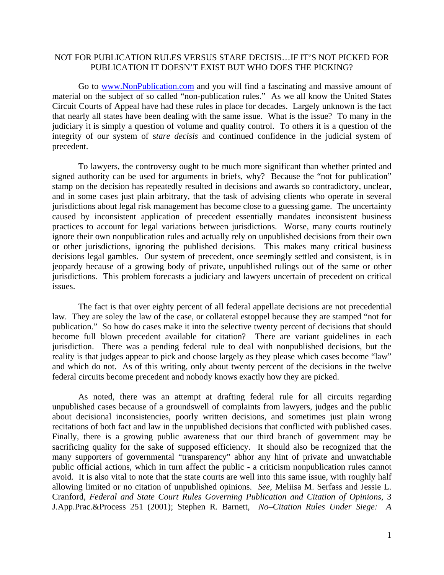## NOT FOR PUBLICATION RULES VERSUS STARE DECISIS…IF IT'S NOT PICKED FOR PUBLICATION IT DOESN'T EXIST BUT WHO DOES THE PICKING?

Go to www.NonPublication.com and you will find a fascinating and massive amount of material on the subject of so called "non-publication rules." As we all know the United States Circuit Courts of Appeal have had these rules in place for decades. Largely unknown is the fact that nearly all states have been dealing with the same issue. What is the issue? To many in the judiciary it is simply a question of volume and quality control. To others it is a question of the integrity of our system of s*tare decisis* and continued confidence in the judicial system of precedent.

To lawyers, the controversy ought to be much more significant than whether printed and signed authority can be used for arguments in briefs, why? Because the "not for publication" stamp on the decision has repeatedly resulted in decisions and awards so contradictory, unclear, and in some cases just plain arbitrary, that the task of advising clients who operate in several jurisdictions about legal risk management has become close to a guessing game. The uncertainty caused by inconsistent application of precedent essentially mandates inconsistent business practices to account for legal variations between jurisdictions. Worse, many courts routinely ignore their own nonpublication rules and actually rely on unpublished decisions from their own or other jurisdictions, ignoring the published decisions. This makes many critical business decisions legal gambles. Our system of precedent, once seemingly settled and consistent, is in jeopardy because of a growing body of private, unpublished rulings out of the same or other jurisdictions. This problem forecasts a judiciary and lawyers uncertain of precedent on critical issues.

The fact is that over eighty percent of all federal appellate decisions are not precedential law. They are soley the law of the case, or collateral estoppel because they are stamped "not for publication." So how do cases make it into the selective twenty percent of decisions that should become full blown precedent available for citation? There are variant guidelines in each jurisdiction. There was a pending federal rule to deal with nonpublished decisions, but the reality is that judges appear to pick and choose largely as they please which cases become "law" and which do not. As of this writing, only about twenty percent of the decisions in the twelve federal circuits become precedent and nobody knows exactly how they are picked.

As noted, there was an attempt at drafting federal rule for all circuits regarding unpublished cases because of a groundswell of complaints from lawyers, judges and the public about decisional inconsistencies, poorly written decisions, and sometimes just plain wrong recitations of both fact and law in the unpublished decisions that conflicted with published cases. Finally, there is a growing public awareness that our third branch of government may be sacrificing quality for the sake of supposed efficiency. It should also be recognized that the many supporters of governmental "transparency" abhor any hint of private and unwatchable public official actions, which in turn affect the public - a criticism nonpublication rules cannot avoid. It is also vital to note that the state courts are well into this same issue, with roughly half allowing limited or no citation of unpublished opinions. *See*, Meliisa M. Serfass and Jessie L. Cranford, *Federal and State Court Rules Governing Publication and Citation of Opinions*, 3 J.App.Prac.&Process 251 (2001); Stephen R. Barnett, *No–Citation Rules Under Siege: A*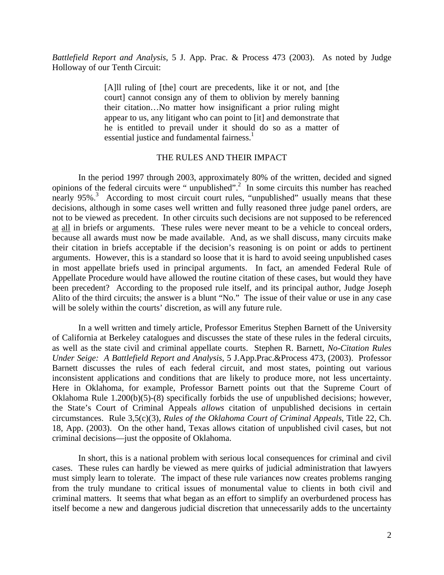*Battlefield Report and Analysis*, 5 J. App. Prac. & Process 473 (2003). As noted by Judge Holloway of our Tenth Circuit:

> [A]ll ruling of [the] court are precedents, like it or not, and [the court] cannot consign any of them to oblivion by merely banning their citation…No matter how insignificant a prior ruling might appear to us, any litigant who can point to [it] and demonstrate that he is entitled to prevail under it should do so as a matter of essential justice and fundamental fairness.<sup>1</sup>

## THE RULES AND THEIR IMPACT

In the period 1997 through 2003, approximately 80% of the written, decided and signed opinions of the federal circuits were " unpublished".2 In some circuits this number has reached nearly 95%.<sup>3</sup> According to most circuit court rules, "unpublished" usually means that these decisions, although in some cases well written and fully reasoned three judge panel orders, are not to be viewed as precedent. In other circuits such decisions are not supposed to be referenced at all in briefs or arguments. These rules were never meant to be a vehicle to conceal orders, because all awards must now be made available. And, as we shall discuss, many circuits make their citation in briefs acceptable if the decision's reasoning is on point or adds to pertinent arguments. However, this is a standard so loose that it is hard to avoid seeing unpublished cases in most appellate briefs used in principal arguments. In fact, an amended Federal Rule of Appellate Procedure would have allowed the routine citation of these cases, but would they have been precedent? According to the proposed rule itself, and its principal author, Judge Joseph Alito of the third circuits; the answer is a blunt "No." The issue of their value or use in any case will be solely within the courts' discretion, as will any future rule.

In a well written and timely article, Professor Emeritus Stephen Barnett of the University of California at Berkeley catalogues and discusses the state of these rules in the federal circuits, as well as the state civil and criminal appellate courts. Stephen R. Barnett, *No-Citation Rules Under Seige: A Battlefield Report and Analysis*, 5 J.App.Prac.&Process 473, (2003). Professor Barnett discusses the rules of each federal circuit, and most states, pointing out various inconsistent applications and conditions that are likely to produce more, not less uncertainty. Here in Oklahoma, for example, Professor Barnett points out that the Supreme Court of Oklahoma Rule 1.200(b)(5)-(8) specifically forbids the use of unpublished decisions; however, the State's Court of Criminal Appeals *allows* citation of unpublished decisions in certain circumstances. Rule 3,5(c)(3), *Rules of the Oklahoma Court of Criminal Appeals*, Title 22, Ch. 18, App. (2003). On the other hand, Texas allows citation of unpublished civil cases, but not criminal decisions—just the opposite of Oklahoma.

In short, this is a national problem with serious local consequences for criminal and civil cases. These rules can hardly be viewed as mere quirks of judicial administration that lawyers must simply learn to tolerate. The impact of these rule variances now creates problems ranging from the truly mundane to critical issues of monumental value to clients in both civil and criminal matters. It seems that what began as an effort to simplify an overburdened process has itself become a new and dangerous judicial discretion that unnecessarily adds to the uncertainty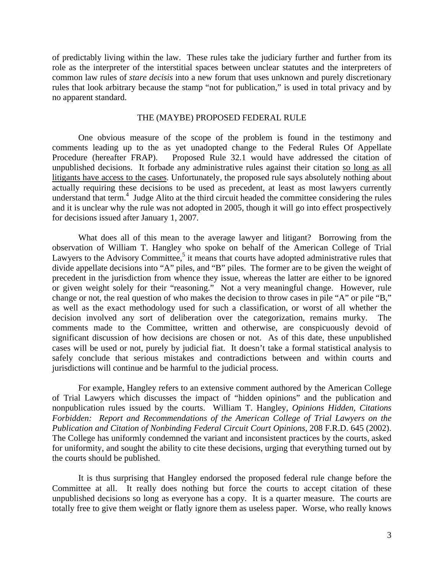of predictably living within the law. These rules take the judiciary further and further from its role as the interpreter of the interstitial spaces between unclear statutes and the interpreters of common law rules of *stare decisis* into a new forum that uses unknown and purely discretionary rules that look arbitrary because the stamp "not for publication," is used in total privacy and by no apparent standard.

## THE (MAYBE) PROPOSED FEDERAL RULE

One obvious measure of the scope of the problem is found in the testimony and comments leading up to the as yet unadopted change to the Federal Rules Of Appellate Procedure (hereafter FRAP). Proposed Rule 32.1 would have addressed the citation of unpublished decisions. It forbade any administrative rules against their citation so long as all litigants have access to the cases. Unfortunately, the proposed rule says absolutely nothing about actually requiring these decisions to be used as precedent, at least as most lawyers currently understand that term.<sup>4</sup> Judge Alito at the third circuit headed the committee considering the rules and it is unclear why the rule was not adopted in 2005, though it will go into effect prospectively for decisions issued after January 1, 2007.

What does all of this mean to the average lawyer and litigant? Borrowing from the observation of William T. Hangley who spoke on behalf of the American College of Trial Lawyers to the Advisory Committee,<sup>5</sup> it means that courts have adopted administrative rules that divide appellate decisions into "A" piles, and "B" piles. The former are to be given the weight of precedent in the jurisdiction from whence they issue, whereas the latter are either to be ignored or given weight solely for their "reasoning." Not a very meaningful change. However, rule change or not, the real question of who makes the decision to throw cases in pile "A" or pile "B," as well as the exact methodology used for such a classification, or worst of all whether the decision involved any sort of deliberation over the categorization, remains murky. The comments made to the Committee, written and otherwise, are conspicuously devoid of significant discussion of how decisions are chosen or not. As of this date, these unpublished cases will be used or not, purely by judicial fiat. It doesn't take a formal statistical analysis to safely conclude that serious mistakes and contradictions between and within courts and jurisdictions will continue and be harmful to the judicial process.

For example, Hangley refers to an extensive comment authored by the American College of Trial Lawyers which discusses the impact of "hidden opinions" and the publication and nonpublication rules issued by the courts. William T. Hangley, *Opinions Hidden, Citations Forbidden: Report and Recommendations of the American College of Trial Lawyers on the Publication and Citation of Nonbinding Federal Circuit Court Opinions*, 208 F.R.D. 645 (2002). The College has uniformly condemned the variant and inconsistent practices by the courts, asked for uniformity, and sought the ability to cite these decisions, urging that everything turned out by the courts should be published.

It is thus surprising that Hangley endorsed the proposed federal rule change before the Committee at all. It really does nothing but force the courts to accept citation of these unpublished decisions so long as everyone has a copy. It is a quarter measure. The courts are totally free to give them weight or flatly ignore them as useless paper. Worse, who really knows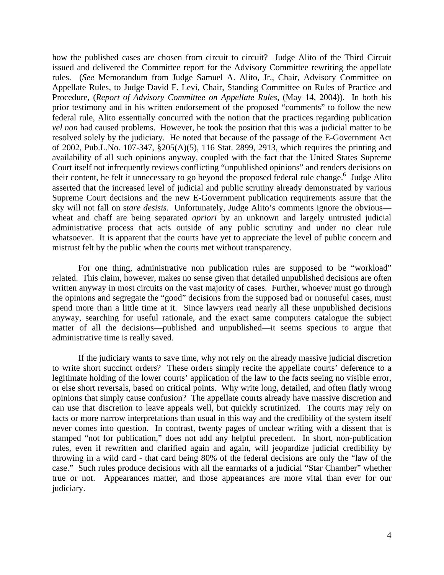how the published cases are chosen from circuit to circuit? Judge Alito of the Third Circuit issued and delivered the Committee report for the Advisory Committee rewriting the appellate rules. (*See* Memorandum from Judge Samuel A. Alito, Jr., Chair, Advisory Committee on Appellate Rules, to Judge David F. Levi, Chair, Standing Committee on Rules of Practice and Procedure, (*Report of Advisory Committee on Appellate Rules*, (May 14, 2004)). In both his prior testimony and in his written endorsement of the proposed "comments" to follow the new federal rule, Alito essentially concurred with the notion that the practices regarding publication *vel non* had caused problems. However, he took the position that this was a judicial matter to be resolved solely by the judiciary. He noted that because of the passage of the E-Government Act of 2002, Pub.L.No. 107-347, §205(A)(5), 116 Stat. 2899, 2913, which requires the printing and availability of all such opinions anyway, coupled with the fact that the United States Supreme Court itself not infrequently reviews conflicting "unpublished opinions" and renders decisions on their content, he felt it unnecessary to go beyond the proposed federal rule change.<sup>6</sup> Judge Alito asserted that the increased level of judicial and public scrutiny already demonstrated by various Supreme Court decisions and the new E-Government publication requirements assure that the sky will not fall on s*tare desisis*. Unfortunately, Judge Alito's comments ignore the obvious wheat and chaff are being separated *apriori* by an unknown and largely untrusted judicial administrative process that acts outside of any public scrutiny and under no clear rule whatsoever. It is apparent that the courts have yet to appreciate the level of public concern and mistrust felt by the public when the courts met without transparency.

For one thing, administrative non publication rules are supposed to be "workload" related. This claim, however, makes no sense given that detailed unpublished decisions are often written anyway in most circuits on the vast majority of cases. Further, whoever must go through the opinions and segregate the "good" decisions from the supposed bad or nonuseful cases, must spend more than a little time at it. Since lawyers read nearly all these unpublished decisions anyway, searching for useful rationale, and the exact same computers catalogue the subject matter of all the decisions—published and unpublished—it seems specious to argue that administrative time is really saved.

If the judiciary wants to save time, why not rely on the already massive judicial discretion to write short succinct orders? These orders simply recite the appellate courts' deference to a legitimate holding of the lower courts' application of the law to the facts seeing no visible error, or else short reversals, based on critical points. Why write long, detailed, and often flatly wrong opinions that simply cause confusion? The appellate courts already have massive discretion and can use that discretion to leave appeals well, but quickly scrutinized. The courts may rely on facts or more narrow interpretations than usual in this way and the credibility of the system itself never comes into question. In contrast, twenty pages of unclear writing with a dissent that is stamped "not for publication," does not add any helpful precedent. In short, non-publication rules, even if rewritten and clarified again and again, will jeopardize judicial credibility by throwing in a wild card - that card being 80% of the federal decisions are only the "law of the case." Such rules produce decisions with all the earmarks of a judicial "Star Chamber" whether true or not. Appearances matter, and those appearances are more vital than ever for our judiciary.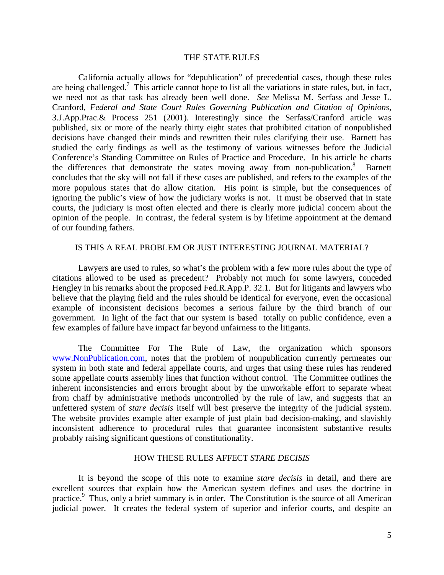## THE STATE RULES

California actually allows for "depublication" of precedential cases, though these rules are being challenged.<sup>7</sup> This article cannot hope to list all the variations in state rules, but, in fact, we need not as that task has already been well done. *See* Melissa M. Serfass and Jesse L. Cranford, *Federal and State Court Rules Governing Publication and Citation of Opinions,* 3.J.App.Prac.& Process 251 (2001). Interestingly since the Serfass/Cranford article was published, six or more of the nearly thirty eight states that prohibited citation of nonpublished decisions have changed their minds and rewritten their rules clarifying their use. Barnett has studied the early findings as well as the testimony of various witnesses before the Judicial Conference's Standing Committee on Rules of Practice and Procedure. In his article he charts the differences that demonstrate the states moving away from non-publication.<sup>8</sup> Barnett concludes that the sky will not fall if these cases are published, and refers to the examples of the more populous states that do allow citation. His point is simple, but the consequences of ignoring the public's view of how the judiciary works is not. It must be observed that in state courts, the judiciary is most often elected and there is clearly more judicial concern about the opinion of the people. In contrast, the federal system is by lifetime appointment at the demand of our founding fathers.

## IS THIS A REAL PROBLEM OR JUST INTERESTING JOURNAL MATERIAL?

Lawyers are used to rules, so what's the problem with a few more rules about the type of citations allowed to be used as precedent? Probably not much for some lawyers, conceded Hengley in his remarks about the proposed Fed.R.App.P. 32.1. But for litigants and lawyers who believe that the playing field and the rules should be identical for everyone, even the occasional example of inconsistent decisions becomes a serious failure by the third branch of our government. In light of the fact that our system is based totally on public confidence, even a few examples of failure have impact far beyond unfairness to the litigants.

The Committee For The Rule of Law, the organization which sponsors www.NonPublication.com, notes that the problem of nonpublication currently permeates our system in both state and federal appellate courts, and urges that using these rules has rendered some appellate courts assembly lines that function without control. The Committee outlines the inherent inconsistencies and errors brought about by the unworkable effort to separate wheat from chaff by administrative methods uncontrolled by the rule of law, and suggests that an unfettered system of *stare decisis* itself will best preserve the integrity of the judicial system. The website provides example after example of just plain bad decision-making, and slavishly inconsistent adherence to procedural rules that guarantee inconsistent substantive results probably raising significant questions of constitutionality.

### HOW THESE RULES AFFECT *STARE DECISIS*

It is beyond the scope of this note to examine *stare decisis* in detail, and there are excellent sources that explain how the American system defines and uses the doctrine in practice.<sup>9</sup> Thus, only a brief summary is in order. The Constitution is the source of all American judicial power. It creates the federal system of superior and inferior courts, and despite an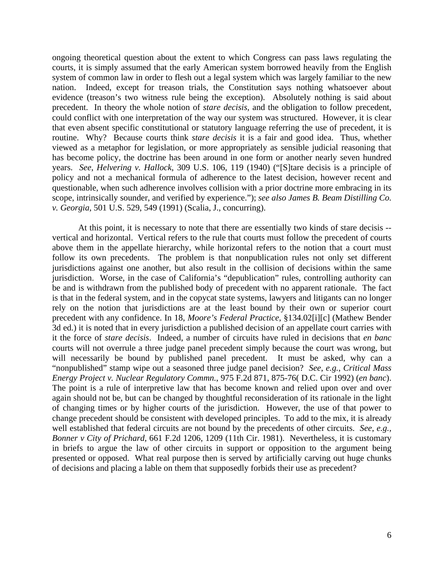ongoing theoretical question about the extent to which Congress can pass laws regulating the courts, it is simply assumed that the early American system borrowed heavily from the English system of common law in order to flesh out a legal system which was largely familiar to the new nation. Indeed, except for treason trials, the Constitution says nothing whatsoever about evidence (treason's two witness rule being the exception). Absolutely nothing is said about precedent. In theory the whole notion of *stare decisis,* and the obligation to follow precedent, could conflict with one interpretation of the way our system was structured. However, it is clear that even absent specific constitutional or statutory language referring the use of precedent, it is routine. Why? Because courts think *stare decisis* it is a fair and good idea. Thus, whether viewed as a metaphor for legislation, or more appropriately as sensible judicial reasoning that has become policy, the doctrine has been around in one form or another nearly seven hundred years. *See*, *Helvering v. Hallock*, 309 U.S. 106, 119 (1940) ("[S]tare decisis is a principle of policy and not a mechanical formula of adherence to the latest decision, however recent and questionable, when such adherence involves collision with a prior doctrine more embracing in its scope, intrinsically sounder, and verified by experience."); *see also James B. Beam Distilling Co. v. Georgia,* 501 U.S. 529, 549 (1991) (Scalia, J., concurring).

At this point, it is necessary to note that there are essentially two kinds of stare decisis - vertical and horizontal. Vertical refers to the rule that courts must follow the precedent of courts above them in the appellate hierarchy, while horizontal refers to the notion that a court must follow its own precedents. The problem is that nonpublication rules not only set different jurisdictions against one another, but also result in the collision of decisions within the same jurisdiction. Worse, in the case of California's "depublication" rules, controlling authority can be and is withdrawn from the published body of precedent with no apparent rationale. The fact is that in the federal system, and in the copycat state systems, lawyers and litigants can no longer rely on the notion that jurisdictions are at the least bound by their own or superior court precedent with any confidence. In 18, *Moore's Federal Practice*, §134.02[i][c] (Mathew Bender 3d ed.) it is noted that in every jurisdiction a published decision of an appellate court carries with it the force of *stare decisis*. Indeed, a number of circuits have ruled in decisions that *en banc* courts will not overrule a three judge panel precedent simply because the court was wrong, but will necessarily be bound by published panel precedent. It must be asked, why can a "nonpublished" stamp wipe out a seasoned three judge panel decision? *See*, *e.g.*, *Critical Mass Energy Project v. Nuclear Regulatory Commn.*, 975 F.2d 871, 875-76( D.C. Cir 1992) (*en banc*). The point is a rule of interpretive law that has become known and relied upon over and over again should not be, but can be changed by thoughtful reconsideration of its rationale in the light of changing times or by higher courts of the jurisdiction. However, the use of that power to change precedent should be consistent with developed principles. To add to the mix, it is already well established that federal circuits are not bound by the precedents of other circuits. *See*, *e.g., Bonner v City of Prichard,* 661 F.2d 1206, 1209 (11th Cir. 1981). Nevertheless, it is customary in briefs to argue the law of other circuits in support or opposition to the argument being presented or opposed. What real purpose then is served by artificially carving out huge chunks of decisions and placing a lable on them that supposedly forbids their use as precedent?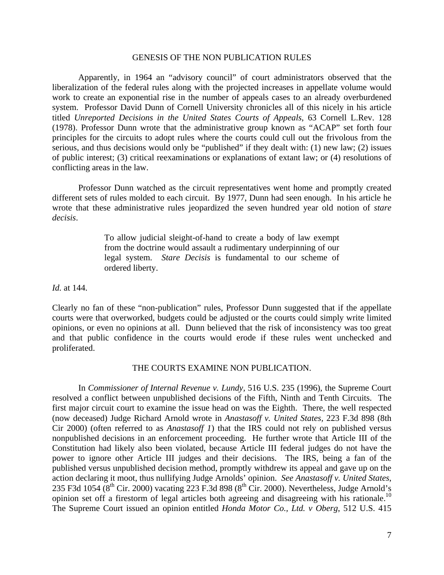## GENESIS OF THE NON PUBLICATION RULES

Apparently, in 1964 an "advisory council" of court administrators observed that the liberalization of the federal rules along with the projected increases in appellate volume would work to create an exponential rise in the number of appeals cases to an already overburdened system. Professor David Dunn of Cornell University chronicles all of this nicely in his article titled *Unreported Decisions in the United States Courts of Appeals*, 63 Cornell L.Rev. 128 (1978). Professor Dunn wrote that the administrative group known as "ACAP" set forth four principles for the circuits to adopt rules where the courts could cull out the frivolous from the serious, and thus decisions would only be "published" if they dealt with: (1) new law; (2) issues of public interest; (3) critical reexaminations or explanations of extant law; or (4) resolutions of conflicting areas in the law.

Professor Dunn watched as the circuit representatives went home and promptly created different sets of rules molded to each circuit. By 1977, Dunn had seen enough. In his article he wrote that these administrative rules jeopardized the seven hundred year old notion of *stare decisis*.

> To allow judicial sleight-of-hand to create a body of law exempt from the doctrine would assault a rudimentary underpinning of our legal system. *Stare Decisis* is fundamental to our scheme of ordered liberty.

*Id.* at 144.

Clearly no fan of these "non-publication" rules, Professor Dunn suggested that if the appellate courts were that overworked, budgets could be adjusted or the courts could simply write limited opinions, or even no opinions at all. Dunn believed that the risk of inconsistency was too great and that public confidence in the courts would erode if these rules went unchecked and proliferated.

## THE COURTS EXAMINE NON PUBLICATION.

In *Commissioner of Internal Revenue v. Lundy,* 516 U.S. 235 (1996), the Supreme Court resolved a conflict between unpublished decisions of the Fifth, Ninth and Tenth Circuits. The first major circuit court to examine the issue head on was the Eighth. There, the well respected (now deceased) Judge Richard Arnold wrote in *Anastasoff v. United States,* 223 F.3d 898 (8th Cir 2000) (often referred to as *Anastasoff 1*) that the IRS could not rely on published versus nonpublished decisions in an enforcement proceeding. He further wrote that Article III of the Constitution had likely also been violated, because Article III federal judges do not have the power to ignore other Article III judges and their decisions. The IRS, being a fan of the published versus unpublished decision method, promptly withdrew its appeal and gave up on the action declaring it moot, thus nullifying Judge Arnolds' opinion. *See Anastasoff v. United States*, 235 F3d 1054 ( $8^{th}$  Cir. 2000) vacating 223 F.3d 898 ( $8^{th}$  Cir. 2000). Nevertheless, Judge Arnold's opinion set off a firestorm of legal articles both agreeing and disagreeing with his rationale.<sup>10</sup> The Supreme Court issued an opinion entitled *Honda Motor Co., Ltd. v Oberg*, 512 U.S. 415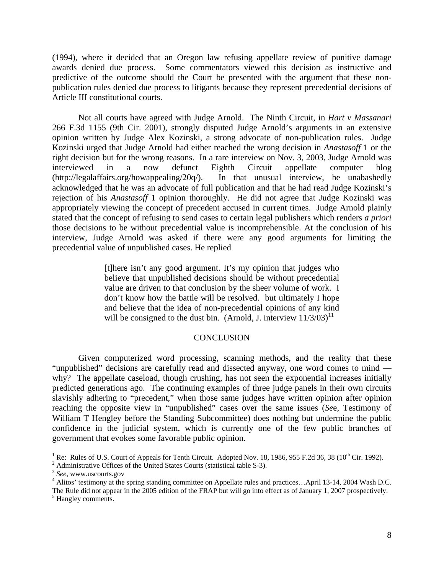(1994), where it decided that an Oregon law refusing appellate review of punitive damage awards denied due process. Some commentators viewed this decision as instructive and predictive of the outcome should the Court be presented with the argument that these nonpublication rules denied due process to litigants because they represent precedential decisions of Article III constitutional courts.

Not all courts have agreed with Judge Arnold. The Ninth Circuit, in *Hart v Massanari* 266 F.3d 1155 (9th Cir. 2001), strongly disputed Judge Arnold's arguments in an extensive opinion written by Judge Alex Kozinski, a strong advocate of non-publication rules. Judge Kozinski urged that Judge Arnold had either reached the wrong decision in *Anastasoff* 1 or the right decision but for the wrong reasons. In a rare interview on Nov. 3, 2003, Judge Arnold was interviewed in a now defunct Eighth Circuit appellate computer blog (http://legalaffairs.org/howappealing/20q/). In that unusual interview, he unabashedly acknowledged that he was an advocate of full publication and that he had read Judge Kozinski's rejection of his *Anastasoff* 1 opinion thoroughly. He did not agree that Judge Kozinski was appropriately viewing the concept of precedent accused in current times. Judge Arnold plainly stated that the concept of refusing to send cases to certain legal publishers which renders *a priori* those decisions to be without precedential value is incomprehensible. At the conclusion of his interview, Judge Arnold was asked if there were any good arguments for limiting the precedential value of unpublished cases. He replied

> [t]here isn't any good argument. It's my opinion that judges who believe that unpublished decisions should be without precedential value are driven to that conclusion by the sheer volume of work. I don't know how the battle will be resolved. but ultimately I hope and believe that the idea of non-precedential opinions of any kind will be consigned to the dust bin. (Arnold, J. interview  $11/3/03$ )<sup>11</sup>

#### **CONCLUSION**

Given computerized word processing, scanning methods, and the reality that these "unpublished" decisions are carefully read and dissected anyway, one word comes to mind why? The appellate caseload, though crushing, has not seen the exponential increases initially predicted generations ago. The continuing examples of three judge panels in their own circuits slavishly adhering to "precedent," when those same judges have written opinion after opinion reaching the opposite view in "unpublished" cases over the same issues (*Se*e, Testimony of William T Hengley before the Standing Subcommittee) does nothing but undermine the public confidence in the judicial system, which is currently one of the few public branches of government that evokes some favorable public opinion.

 $\overline{a}$ 

<sup>1</sup> Re: Rules of U.S. Court of Appeals for Tenth Circuit. Adopted Nov. 18, 1986, 955 F.2d 36, 38 (10<sup>th</sup> Cir. 1992).

 $2$  Administrative Offices of the United States Courts (statistical table S-3).

<sup>3</sup> *See*, www.uscourts.gov 4

<sup>&</sup>lt;sup>4</sup> Alitos' testimony at the spring standing committee on Appellate rules and practices...April 13-14, 2004 Wash D.C.

The Rule did not appear in the 2005 edition of the FRAP but will go into effect as of January 1, 2007 prospectively. <sup>5</sup> Hangley comments.